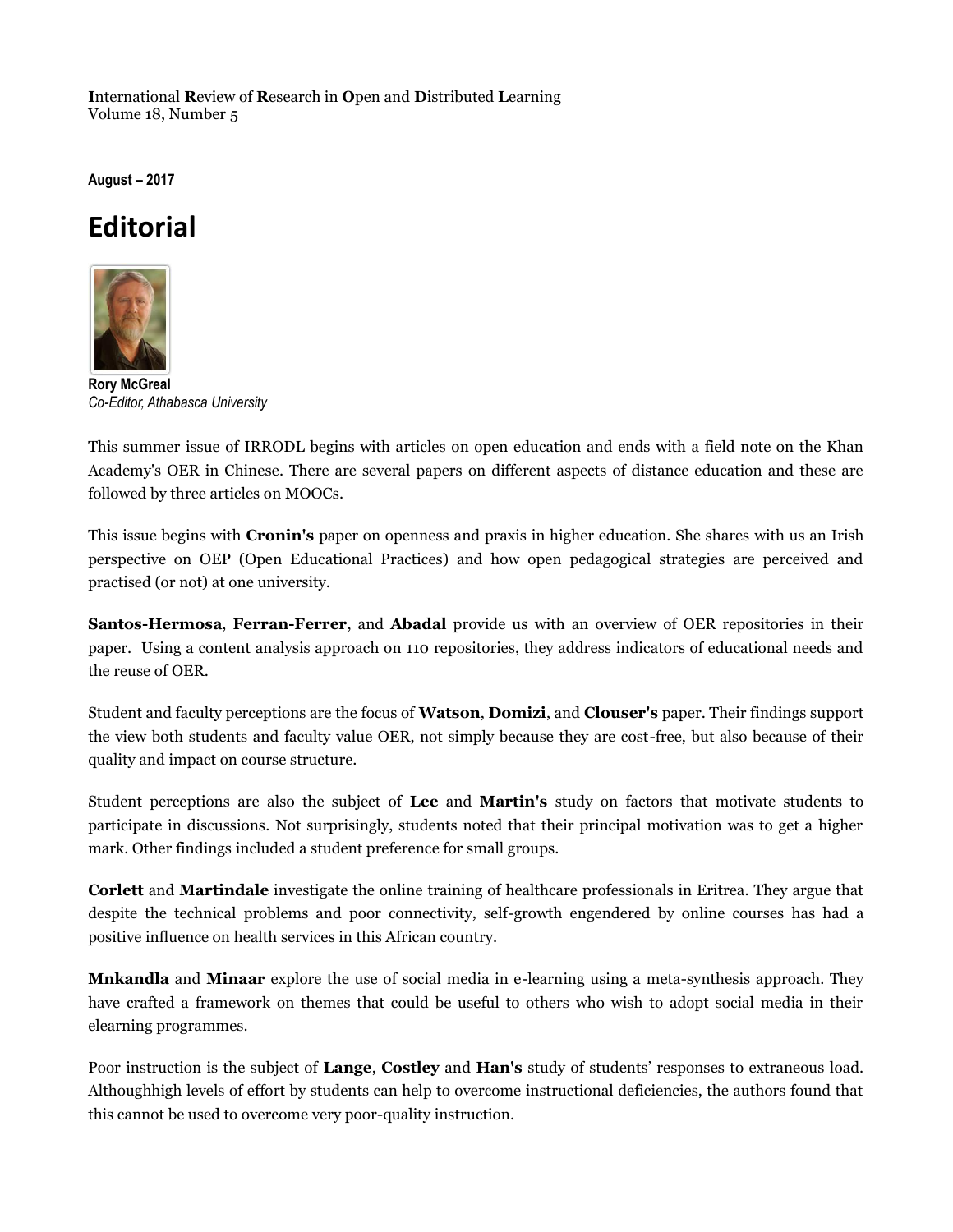**August – 2017**

## **Editorial**



**Rory McGreal** *Co-Editor, Athabasca University*

This summer issue of IRRODL begins with articles on open education and ends with a field note on the Khan Academy's OER in Chinese. There are several papers on different aspects of distance education and these are followed by three articles on MOOCs.

This issue begins with **Cronin's** paper on openness and praxis in higher education. She shares with us an Irish perspective on OEP (Open Educational Practices) and how open pedagogical strategies are perceived and practised (or not) at one university.

**Santos-Hermosa**, **Ferran-Ferrer**, and **Abadal** provide us with an overview of OER repositories in their paper. Using a content analysis approach on 110 repositories, they address indicators of educational needs and the reuse of OER.

Student and faculty perceptions are the focus of **Watson**, **Domizi**, and **Clouser's** paper. Their findings support the view both students and faculty value OER, not simply because they are cost-free, but also because of their quality and impact on course structure.

Student perceptions are also the subject of **Lee** and **Martin's** study on factors that motivate students to participate in discussions. Not surprisingly, students noted that their principal motivation was to get a higher mark. Other findings included a student preference for small groups.

**Corlett** and **Martindale** investigate the online training of healthcare professionals in Eritrea. They argue that despite the technical problems and poor connectivity, self-growth engendered by online courses has had a positive influence on health services in this African country.

**Mnkandla** and **Minaar** explore the use of social media in e-learning using a meta-synthesis approach. They have crafted a framework on themes that could be useful to others who wish to adopt social media in their elearning programmes.

Poor instruction is the subject of **Lange**, **Costley** and **Han's** study of students' responses to extraneous load. Althoughhigh levels of effort by students can help to overcome instructional deficiencies, the authors found that this cannot be used to overcome very poor-quality instruction.